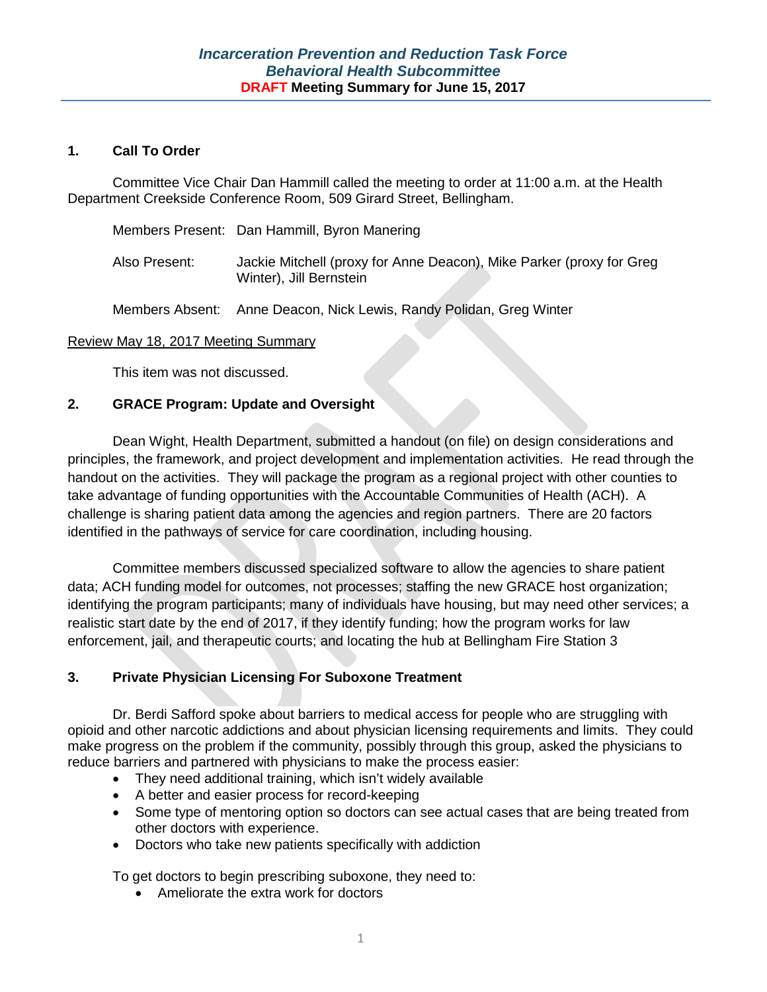#### **1. Call To Order**

Committee Vice Chair Dan Hammill called the meeting to order at 11:00 a.m. at the Health Department Creekside Conference Room, 509 Girard Street, Bellingham.

|               | Members Present: Dan Hammill, Byron Manering                                                    |
|---------------|-------------------------------------------------------------------------------------------------|
| Also Present: | Jackie Mitchell (proxy for Anne Deacon), Mike Parker (proxy for Greg<br>Winter), Jill Bernstein |

### Members Absent: Anne Deacon, Nick Lewis, Randy Polidan, Greg Winter

#### Review May 18, 2017 Meeting Summary

This item was not discussed.

### **2. GRACE Program: Update and Oversight**

Dean Wight, Health Department, submitted a handout (on file) on design considerations and principles, the framework, and project development and implementation activities. He read through the handout on the activities. They will package the program as a regional project with other counties to take advantage of funding opportunities with the Accountable Communities of Health (ACH). A challenge is sharing patient data among the agencies and region partners. There are 20 factors identified in the pathways of service for care coordination, including housing.

Committee members discussed specialized software to allow the agencies to share patient data; ACH funding model for outcomes, not processes; staffing the new GRACE host organization; identifying the program participants; many of individuals have housing, but may need other services; a realistic start date by the end of 2017, if they identify funding; how the program works for law enforcement, jail, and therapeutic courts; and locating the hub at Bellingham Fire Station 3

## **3. Private Physician Licensing For Suboxone Treatment**

Dr. Berdi Safford spoke about barriers to medical access for people who are struggling with opioid and other narcotic addictions and about physician licensing requirements and limits. They could make progress on the problem if the community, possibly through this group, asked the physicians to reduce barriers and partnered with physicians to make the process easier:

- They need additional training, which isn't widely available
- A better and easier process for record-keeping
- Some type of mentoring option so doctors can see actual cases that are being treated from other doctors with experience.
- Doctors who take new patients specifically with addiction

To get doctors to begin prescribing suboxone, they need to:

• Ameliorate the extra work for doctors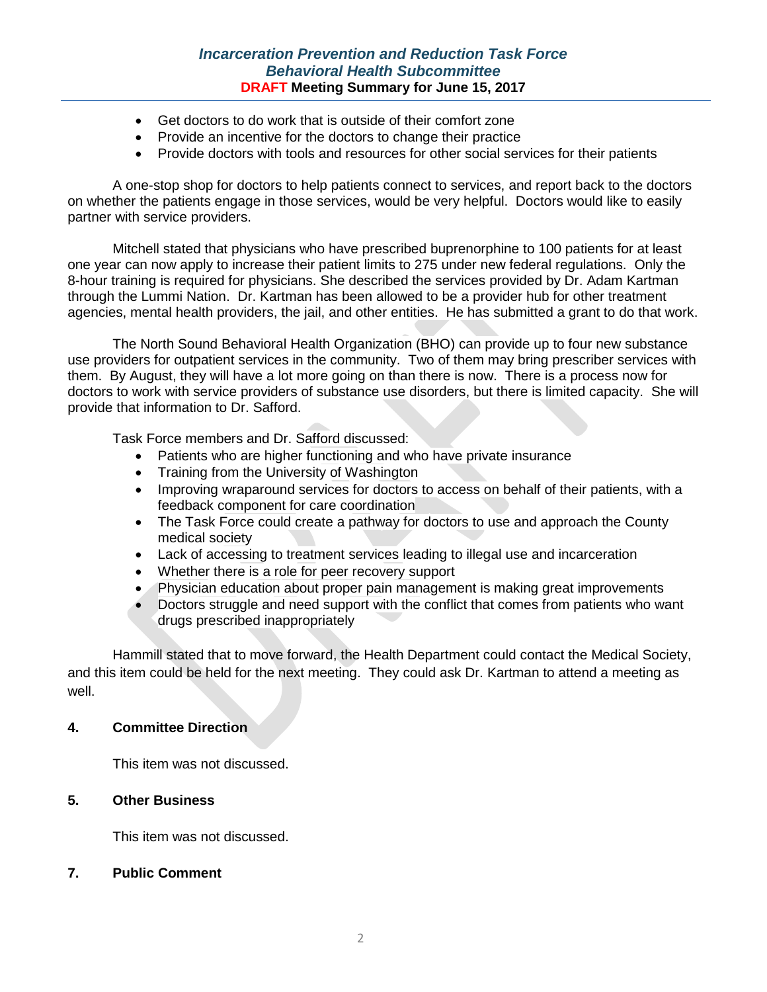### *Incarceration Prevention and Reduction Task Force Behavioral Health Subcommittee* **DRAFT Meeting Summary for June 15, 2017**

- Get doctors to do work that is outside of their comfort zone
- Provide an incentive for the doctors to change their practice
- Provide doctors with tools and resources for other social services for their patients

A one-stop shop for doctors to help patients connect to services, and report back to the doctors on whether the patients engage in those services, would be very helpful. Doctors would like to easily partner with service providers.

Mitchell stated that physicians who have prescribed buprenorphine to 100 patients for at least one year can now apply to increase their patient limits to 275 under new federal regulations. Only the 8-hour training is required for physicians. She described the services provided by Dr. Adam Kartman through the Lummi Nation. Dr. Kartman has been allowed to be a provider hub for other treatment agencies, mental health providers, the jail, and other entities. He has submitted a grant to do that work.

The North Sound Behavioral Health Organization (BHO) can provide up to four new substance use providers for outpatient services in the community. Two of them may bring prescriber services with them. By August, they will have a lot more going on than there is now. There is a process now for doctors to work with service providers of substance use disorders, but there is limited capacity. She will provide that information to Dr. Safford.

Task Force members and Dr. Safford discussed:

- Patients who are higher functioning and who have private insurance
- Training from the University of Washington
- Improving wraparound services for doctors to access on behalf of their patients, with a feedback component for care coordination
- The Task Force could create a pathway for doctors to use and approach the County medical society
- Lack of accessing to treatment services leading to illegal use and incarceration
- Whether there is a role for peer recovery support
- Physician education about proper pain management is making great improvements
- Doctors struggle and need support with the conflict that comes from patients who want drugs prescribed inappropriately

Hammill stated that to move forward, the Health Department could contact the Medical Society, and this item could be held for the next meeting. They could ask Dr. Kartman to attend a meeting as well.

#### **4. Committee Direction**

This item was not discussed.

#### **5. Other Business**

This item was not discussed.

#### **7. Public Comment**